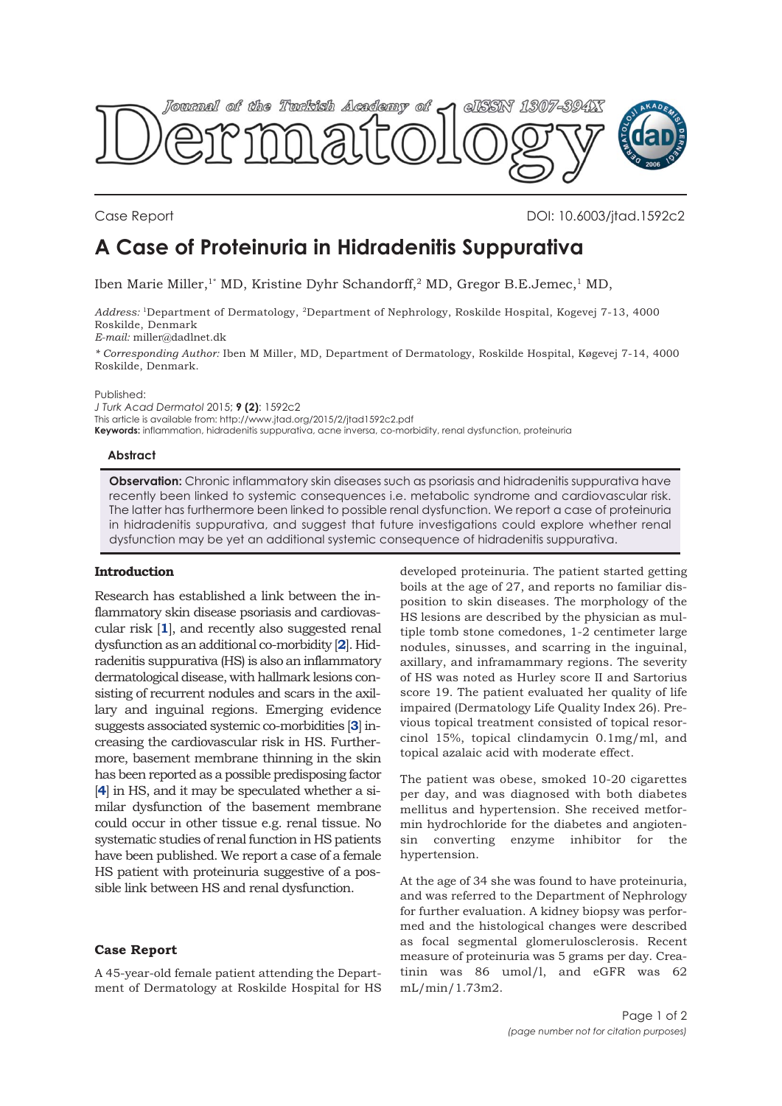

Case Report DOI: 10.6003/jtad.1592c2

# **A Case of Proteinuria in Hidradenitis Suppurativa**

Iben Marie Miller,<sup>1\*</sup> MD, Kristine Dyhr Schandorff,<sup>2</sup> MD, Gregor B.E.Jemec,<sup>1</sup> MD,

*Address:* 1Department of Dermatology, 2Department of Nephrology, Roskilde Hospital, Kogevej 7-13, 4000 Roskilde, Denmark

*E-mail:* miller@dadlnet.dk

*\* Corresponding Author:* Iben M Miller, MD, Department of Dermatology, Roskilde Hospital, Køgevej 7-14, 4000 Roskilde, Denmark.

Published:

*J Turk Acad Dermatol* 2015; **9 (2)**: 1592c2 This article is available from: http://www.jtad.org/2015/2/jtad1592c2.pdf **Keywords:** inflammation, hidradenitis suppurativa, acne inversa, co-morbidity, renal dysfunction, proteinuria

#### **Abstract**

**Observation:** Chronic inflammatory skin diseases such as psoriasis and hidradenitis suppurativa have recently been linked to systemic consequences i.e. metabolic syndrome and cardiovascular risk. The latter has furthermore been linked to possible renal dysfunction. We report a case of proteinuria in hidradenitis suppurativa, and suggest that future investigations could explore whether renal dysfunction may be yet an additional systemic consequence of hidradenitis suppurativa.

## **Introduction**

Research has established a link between the inflammatory skin disease psoriasis and cardiovascular risk [**[1](#page-1-0)**], and recently also suggested renal dysfunction as an additional co-morbidity [**[2](#page-1-0)**]. Hidradenitis suppurativa (HS) is also an inflammatory dermatological disease, with hallmark lesions consisting of recurrent nodules and scars in the axillary and inguinal regions. Emerging evidence suggests associated systemic co-morbidities [**[3](#page-1-0)**] increasing the cardiovascular risk in HS. Furthermore, basement membrane thinning in the skin has been reported as a possible predisposing factor [[4](#page-1-0)] in HS, and it may be speculated whether a similar dysfunction of the basement membrane could occur in other tissue e.g. renal tissue. No systematic studies of renal function in HS patients have been published. We report a case of a female HS patient with proteinuria suggestive of a possible link between HS and renal dysfunction.

## **Case Report**

A 45-year-old female patient attending the Department of Dermatology at Roskilde Hospital for HS

developed proteinuria. The patient started getting boils at the age of 27, and reports no familiar disposition to skin diseases. The morphology of the HS lesions are described by the physician as multiple tomb stone comedones, 1-2 centimeter large nodules, sinusses, and scarring in the inguinal, axillary, and inframammary regions. The severity of HS was noted as Hurley score II and Sartorius score 19. The patient evaluated her quality of life impaired (Dermatology Life Quality Index 26). Previous topical treatment consisted of topical resorcinol 15%, topical clindamycin 0.1mg/ml, and topical azalaic acid with moderate effect.

The patient was obese, smoked 10-20 cigarettes per day, and was diagnosed with both diabetes mellitus and hypertension. She received metformin hydrochloride for the diabetes and angiotensin converting enzyme inhibitor for hypertension.

At the age of 34 she was found to have proteinuria, and was referred to the Department of Nephrology for further evaluation. A kidney biopsy was performed and the histological changes were described as focal segmental glomerulosclerosis. Recent measure of proteinuria was 5 grams per day. Creatinin was 86 umol/l, and eGFR was 62 mL/min/1.73m2.